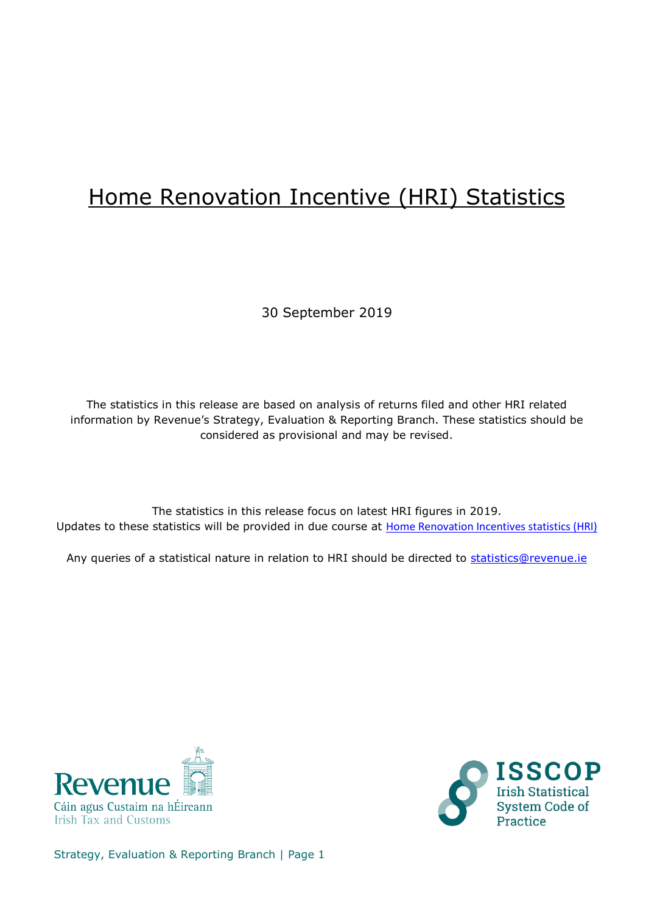## Home Renovation Incentive (HRI) Statistics

30 September 2019

The statistics in this release are based on analysis of returns filed and other HRI related information by Revenue's Strategy, Evaluation & Reporting Branch. These statistics should be considered as provisional and may be revised.

The statistics in this release focus on latest HRI figures in 2019. Updates to these statistics will be provided in due course at [Home Renovation Incentives statistics \(HRI\)](https://www.revenue.ie/en/corporate/information-about-revenue/statistics/tax-expenditures/hri/hri-quarterly.aspx)

Any queries of a statistical nature in relation to HRI should be directed to [statistics@revenue.ie](mailto:statistics@revenue.ie)





Strategy, Evaluation & Reporting Branch | Page 1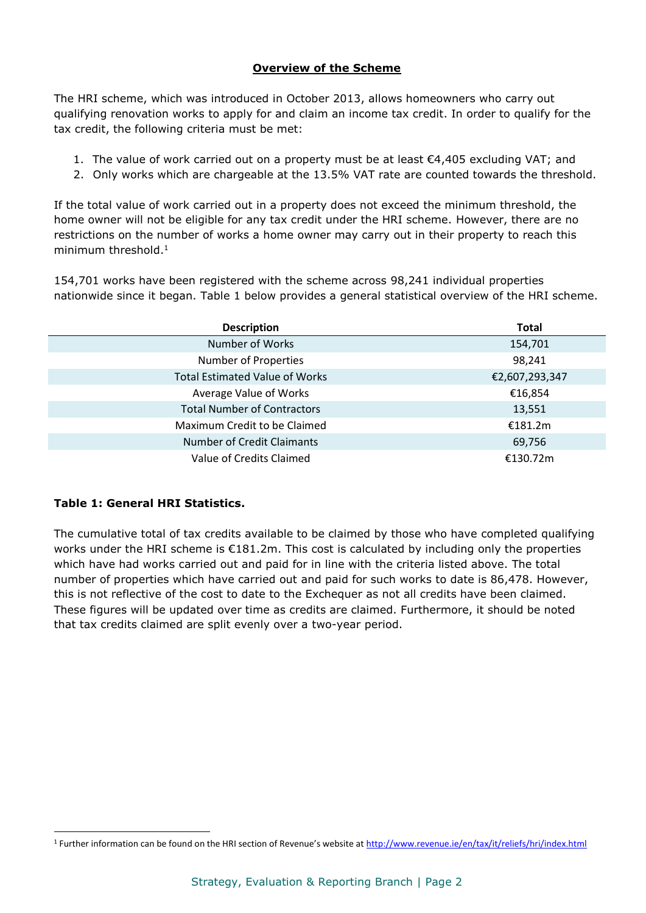The HRI scheme, which was introduced in October 2013, allows homeowners who carry out qualifying renovation works to apply for and claim an income tax credit. In order to qualify for the tax credit, the following criteria must be met:

- 1. The value of work carried out on a property must be at least  $€4,405$  excluding VAT; and
- 2. Only works which are chargeable at the 13.5% VAT rate are counted towards the threshold.

If the total value of work carried out in a property does not exceed the minimum threshold, the home owner will not be eligible for any tax credit under the HRI scheme. However, there are no restrictions on the number of works a home owner may carry out in their property to reach this minimum threshold. 1

154,701 works have been registered with the scheme across 98,241 individual properties nationwide since it began. Table 1 below provides a general statistical overview of the HRI scheme.

| <b>Description</b>                    | <b>Total</b>   |
|---------------------------------------|----------------|
| Number of Works                       | 154,701        |
| Number of Properties                  | 98,241         |
| <b>Total Estimated Value of Works</b> | €2,607,293,347 |
| Average Value of Works                | €16,854        |
| <b>Total Number of Contractors</b>    | 13,551         |
| Maximum Credit to be Claimed          | €181.2m        |
| <b>Number of Credit Claimants</b>     | 69,756         |
| Value of Credits Claimed              | €130.72m       |

## **Table 1: General HRI Statistics.**

 $\overline{a}$ 

The cumulative total of tax credits available to be claimed by those who have completed qualifying works under the HRI scheme is €181.2m. This cost is calculated by including only the properties which have had works carried out and paid for in line with the criteria listed above. The total number of properties which have carried out and paid for such works to date is 86,478. However, this is not reflective of the cost to date to the Exchequer as not all credits have been claimed. These figures will be updated over time as credits are claimed. Furthermore, it should be noted that tax credits claimed are split evenly over a two-year period.

<sup>&</sup>lt;sup>1</sup> Further information can be found on the HRI section of Revenue's website at <http://www.revenue.ie/en/tax/it/reliefs/hri/index.html>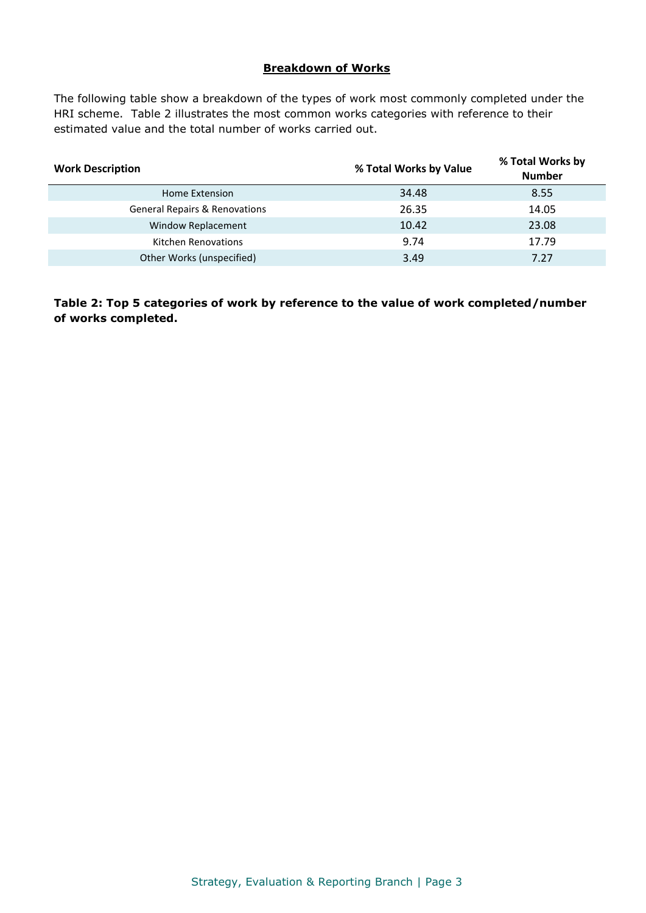## **Breakdown of Works**

The following table show a breakdown of the types of work most commonly completed under the HRI scheme. Table 2 illustrates the most common works categories with reference to their estimated value and the total number of works carried out.

| <b>Work Description</b>                  | % Total Works by Value | % Total Works by<br><b>Number</b> |
|------------------------------------------|------------------------|-----------------------------------|
| Home Extension                           | 34.48                  | 8.55                              |
| <b>General Repairs &amp; Renovations</b> | 26.35                  | 14.05                             |
| Window Replacement                       | 10.42                  | 23.08                             |
| <b>Kitchen Renovations</b>               | 9.74                   | 17.79                             |
| Other Works (unspecified)                | 3.49                   | 7.27                              |

**Table 2: Top 5 categories of work by reference to the value of work completed/number of works completed.**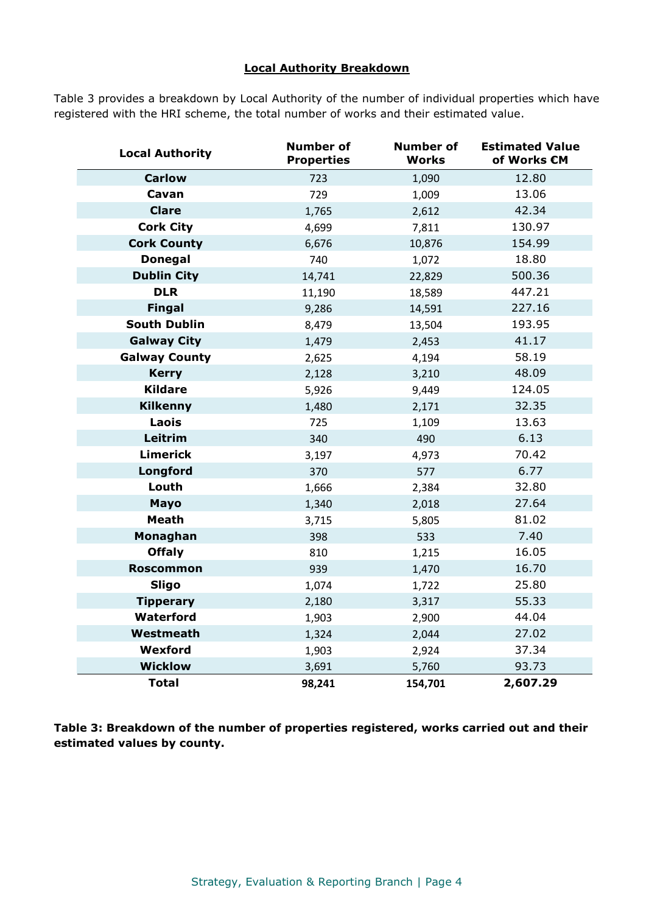## **Local Authority Breakdown**

Table 3 provides a breakdown by Local Authority of the number of individual properties which have registered with the HRI scheme, the total number of works and their estimated value.

| <b>Local Authority</b> | <b>Number of</b><br><b>Properties</b> | <b>Number of</b><br>Works | <b>Estimated Value</b><br>of Works €M |
|------------------------|---------------------------------------|---------------------------|---------------------------------------|
| <b>Carlow</b>          | 723                                   | 1,090                     | 12.80                                 |
| Cavan                  | 729                                   | 1,009                     | 13.06                                 |
| <b>Clare</b>           | 1,765                                 | 2,612                     | 42.34                                 |
| <b>Cork City</b>       | 4,699                                 | 7,811                     | 130.97                                |
| <b>Cork County</b>     | 6,676                                 | 10,876                    | 154.99                                |
| <b>Donegal</b>         | 740                                   | 1,072                     | 18.80                                 |
| <b>Dublin City</b>     | 14,741                                | 22,829                    | 500.36                                |
| <b>DLR</b>             | 11,190                                | 18,589                    | 447.21                                |
| <b>Fingal</b>          | 9,286                                 | 14,591                    | 227.16                                |
| <b>South Dublin</b>    | 8,479                                 | 13,504                    | 193.95                                |
| <b>Galway City</b>     | 1,479                                 | 2,453                     | 41.17                                 |
| <b>Galway County</b>   | 2,625                                 | 4,194                     | 58.19                                 |
| <b>Kerry</b>           | 2,128                                 | 3,210                     | 48.09                                 |
| <b>Kildare</b>         | 5,926                                 | 9,449                     | 124.05                                |
| <b>Kilkenny</b>        | 1,480                                 | 2,171                     | 32.35                                 |
| Laois                  | 725                                   | 1,109                     | 13.63                                 |
| Leitrim                | 340                                   | 490                       | 6.13                                  |
| <b>Limerick</b>        | 3,197                                 | 4,973                     | 70.42                                 |
| Longford               | 370                                   | 577                       | 6.77                                  |
| Louth                  | 1,666                                 | 2,384                     | 32.80                                 |
| <b>Mayo</b>            | 1,340                                 | 2,018                     | 27.64                                 |
| <b>Meath</b>           | 3,715                                 | 5,805                     | 81.02                                 |
| Monaghan               | 398                                   | 533                       | 7.40                                  |
| <b>Offaly</b>          | 810                                   | 1,215                     | 16.05                                 |
| <b>Roscommon</b>       | 939                                   | 1,470                     | 16.70                                 |
| <b>Sligo</b>           | 1,074                                 | 1,722                     | 25.80                                 |
| <b>Tipperary</b>       | 2,180                                 | 3,317                     | 55.33                                 |
| Waterford              | 1,903                                 | 2,900                     | 44.04                                 |
| Westmeath              | 1,324                                 | 2,044                     | 27.02                                 |
| Wexford                | 1,903                                 | 2,924                     | 37.34                                 |
| <b>Wicklow</b>         | 3,691                                 | 5,760                     | 93.73                                 |
| <b>Total</b>           | 98,241                                | 154,701                   | 2,607.29                              |

**Table 3: Breakdown of the number of properties registered, works carried out and their estimated values by county.**